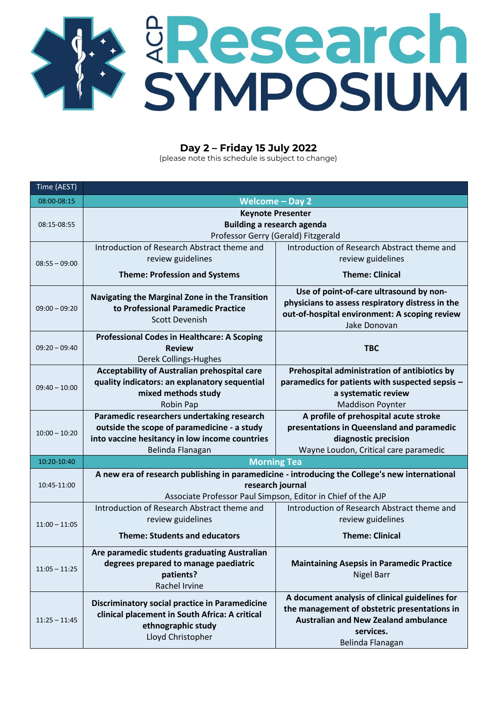

## **Day 2 – Friday 15 July 2022**

(please note this schedule is subject to change)

| Time (AEST)     |                                                                                                         |                                                  |  |
|-----------------|---------------------------------------------------------------------------------------------------------|--------------------------------------------------|--|
| 08:00-08:15     | Welcome $-$ Day 2                                                                                       |                                                  |  |
| 08:15-08:55     | <b>Keynote Presenter</b>                                                                                |                                                  |  |
|                 | <b>Building a research agenda</b><br>Professor Gerry (Gerald) Fitzgerald                                |                                                  |  |
|                 | Introduction of Research Abstract theme and                                                             | Introduction of Research Abstract theme and      |  |
| $08:55 - 09:00$ | review guidelines                                                                                       | review guidelines                                |  |
|                 | <b>Theme: Profession and Systems</b>                                                                    | <b>Theme: Clinical</b>                           |  |
|                 |                                                                                                         |                                                  |  |
| $09:00 - 09:20$ | Navigating the Marginal Zone in the Transition                                                          | Use of point-of-care ultrasound by non-          |  |
|                 | to Professional Paramedic Practice                                                                      | physicians to assess respiratory distress in the |  |
|                 | <b>Scott Devenish</b>                                                                                   | out-of-hospital environment: A scoping review    |  |
|                 | <b>Professional Codes in Healthcare: A Scoping</b>                                                      | Jake Donovan                                     |  |
| $09:20 - 09:40$ | <b>Review</b>                                                                                           | <b>TBC</b>                                       |  |
|                 | Derek Collings-Hughes                                                                                   |                                                  |  |
| $09:40 - 10:00$ | Acceptability of Australian prehospital care                                                            | Prehospital administration of antibiotics by     |  |
|                 | quality indicators: an explanatory sequential                                                           | paramedics for patients with suspected sepsis -  |  |
|                 | mixed methods study                                                                                     | a systematic review                              |  |
|                 | Robin Pap                                                                                               | <b>Maddison Poynter</b>                          |  |
|                 | Paramedic researchers undertaking research                                                              | A profile of prehospital acute stroke            |  |
| $10:00 - 10:20$ | outside the scope of paramedicine - a study                                                             | presentations in Queensland and paramedic        |  |
|                 | into vaccine hesitancy in low income countries                                                          | diagnostic precision                             |  |
|                 | Belinda Flanagan                                                                                        | Wayne Loudon, Critical care paramedic            |  |
| 10:20-10:40     | <b>Morning Tea</b>                                                                                      |                                                  |  |
|                 | A new era of research publishing in paramedicine - introducing the College's new international          |                                                  |  |
| 10:45-11:00     | research journal                                                                                        |                                                  |  |
|                 | Associate Professor Paul Simpson, Editor in Chief of the AJP                                            |                                                  |  |
| $11:00 - 11:05$ | Introduction of Research Abstract theme and                                                             | Introduction of Research Abstract theme and      |  |
|                 | review guidelines                                                                                       | review guidelines                                |  |
|                 | <b>Theme: Students and educators</b>                                                                    | <b>Theme: Clinical</b>                           |  |
|                 | Are paramedic students graduating Australian                                                            |                                                  |  |
| $11:05 - 11:25$ | degrees prepared to manage paediatric                                                                   | <b>Maintaining Asepsis in Paramedic Practice</b> |  |
|                 | patients?                                                                                               | <b>Nigel Barr</b>                                |  |
|                 | Rachel Irvine                                                                                           |                                                  |  |
| $11:25 - 11:45$ | <b>Discriminatory social practice in Paramedicine</b><br>clinical placement in South Africa: A critical | A document analysis of clinical guidelines for   |  |
|                 |                                                                                                         | the management of obstetric presentations in     |  |
|                 | ethnographic study                                                                                      | <b>Australian and New Zealand ambulance</b>      |  |
|                 | Lloyd Christopher                                                                                       | services.                                        |  |
|                 |                                                                                                         | Belinda Flanagan                                 |  |